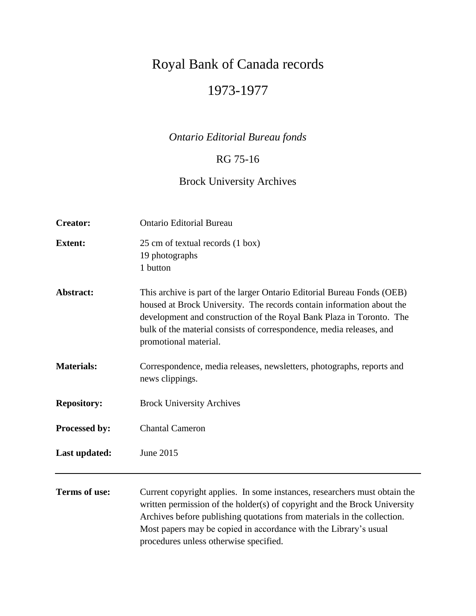# Royal Bank of Canada records 1973-1977

## *Ontario Editorial Bureau fonds*

### RG 75-16

## Brock University Archives

| <b>Creator:</b>      | <b>Ontario Editorial Bureau</b>                                                                                                                                                                                                                                                                                           |
|----------------------|---------------------------------------------------------------------------------------------------------------------------------------------------------------------------------------------------------------------------------------------------------------------------------------------------------------------------|
| <b>Extent:</b>       | 25 cm of textual records (1 box)<br>19 photographs<br>1 button                                                                                                                                                                                                                                                            |
| Abstract:            | This archive is part of the larger Ontario Editorial Bureau Fonds (OEB)<br>housed at Brock University. The records contain information about the<br>development and construction of the Royal Bank Plaza in Toronto. The<br>bulk of the material consists of correspondence, media releases, and<br>promotional material. |
| <b>Materials:</b>    | Correspondence, media releases, newsletters, photographs, reports and<br>news clippings.                                                                                                                                                                                                                                  |
| <b>Repository:</b>   | <b>Brock University Archives</b>                                                                                                                                                                                                                                                                                          |
| Processed by:        | <b>Chantal Cameron</b>                                                                                                                                                                                                                                                                                                    |
| Last updated:        | June 2015                                                                                                                                                                                                                                                                                                                 |
| <b>Terms of use:</b> | Current copyright applies. In some instances, researchers must obtain the<br>written permission of the holder(s) of copyright and the Brock University<br>Archives before publishing quotations from materials in the collection.<br>Most papers may be copied in accordance with the Library's usual                     |

procedures unless otherwise specified.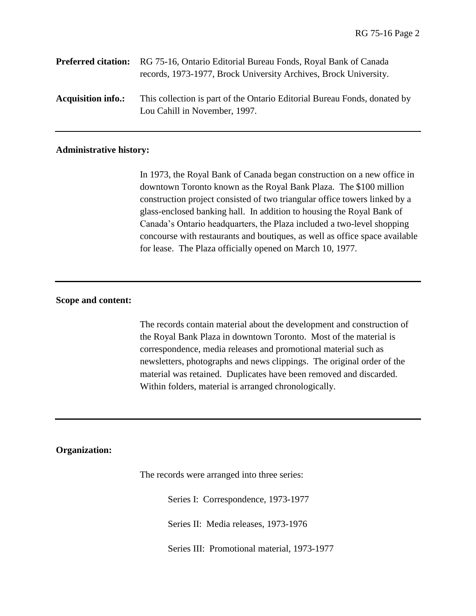|                           | <b>Preferred citation:</b> RG 75-16, Ontario Editorial Bureau Fonds, Royal Bank of Canada<br>records, 1973-1977, Brock University Archives, Brock University. |
|---------------------------|---------------------------------------------------------------------------------------------------------------------------------------------------------------|
| <b>Acquisition info.:</b> | This collection is part of the Ontario Editorial Bureau Fonds, donated by<br>Lou Cahill in November, 1997.                                                    |

#### **Administrative history:**

In 1973, the Royal Bank of Canada began construction on a new office in downtown Toronto known as the Royal Bank Plaza. The \$100 million construction project consisted of two triangular office towers linked by a glass-enclosed banking hall. In addition to housing the Royal Bank of Canada's Ontario headquarters, the Plaza included a two-level shopping concourse with restaurants and boutiques, as well as office space available for lease. The Plaza officially opened on March 10, 1977.

#### **Scope and content:**

The records contain material about the development and construction of the Royal Bank Plaza in downtown Toronto. Most of the material is correspondence, media releases and promotional material such as newsletters, photographs and news clippings. The original order of the material was retained. Duplicates have been removed and discarded. Within folders, material is arranged chronologically.

#### **Organization:**

The records were arranged into three series:

Series I: Correspondence, 1973-1977

Series II: Media releases, 1973-1976

Series III: Promotional material, 1973-1977